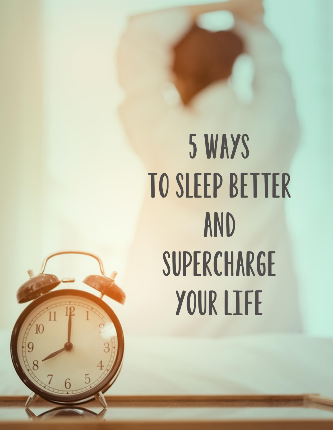# 5 WAYS TO SLEEP BETTER AND SUPERCHARGE YOUR LIFE

© 2021, Dawn Palacios, RD, LDN

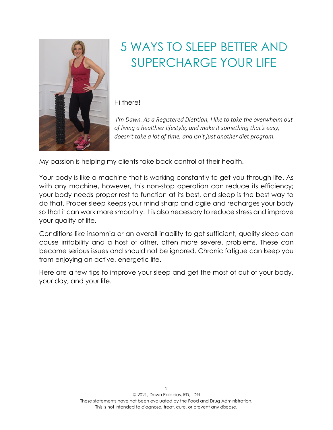

## 5 WAYS TO SLEEP BETTER AND SUPERCHARGE YOUR LIFE

Hi there!

*I'm Dawn. As a Registered Dietitian, I like to take the overwhelm out of living a healthier lifestyle, and make it something that's easy, doesn't take a lot of time, and isn't just another diet program.*

My passion is helping my clients take back control of their health.

Your body is like a machine that is working constantly to get you through life. As with any machine, however, this non-stop operation can reduce its efficiency; your body needs proper rest to function at its best, and sleep is the best way to do that. Proper sleep keeps your mind sharp and agile and recharges your body so that it can work more smoothly. It is also necessary to reduce stress and improve your quality of life.

Conditions like insomnia or an overall inability to get sufficient, quality sleep can cause irritability and a host of other, often more severe, problems. These can become serious issues and should not be ignored. Chronic fatigue can keep you from enjoying an active, energetic life.

Here are a few tips to improve your sleep and get the most of out of your body, your day, and your life.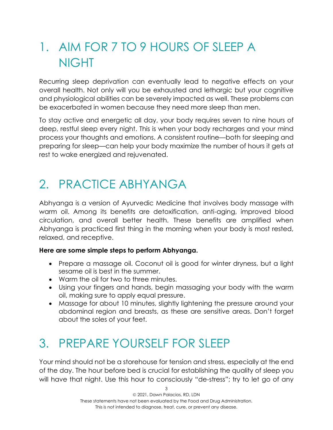# 1. AIM FOR 7 TO 9 HOURS OF SLEEP A NIGHT

Recurring sleep deprivation can eventually lead to negative effects on your overall health. Not only will you be exhausted and lethargic but your cognitive and physiological abilities can be severely impacted as well. These problems can be exacerbated in women because they need more sleep than men.

To stay active and energetic all day, your body requires seven to nine hours of deep, restful sleep every night. This is when your body recharges and your mind process your thoughts and emotions. A consistent routine—both for sleeping and preparing for sleep—can help your body maximize the number of hours it gets at rest to wake energized and rejuvenated.

### 2. PRACTICE ABHYANGA

Abhyanga is a version of Ayurvedic Medicine that involves body massage with warm oil. Among its benefits are detoxification, anti-aging, improved blood circulation, and overall better health. These benefits are amplified when Abhyanga is practiced first thing in the morning when your body is most rested, relaxed, and receptive.

#### **Here are some simple steps to perform Abhyanga.**

- Prepare a massage oil. Coconut oil is good for winter dryness, but a light sesame oil is best in the summer.
- Warm the oil for two to three minutes.
- Using your fingers and hands, begin massaging your body with the warm oil, making sure to apply equal pressure.
- Massage for about 10 minutes, slightly lightening the pressure around your abdominal region and breasts, as these are sensitive areas. Don't forget about the soles of your feet.

# 3. PREPARE YOURSELF FOR SLEEP

Your mind should not be a storehouse for tension and stress, especially at the end of the day. The hour before bed is crucial for establishing the quality of sleep you will have that night. Use this hour to consciously "de-stress"; try to let go of any

3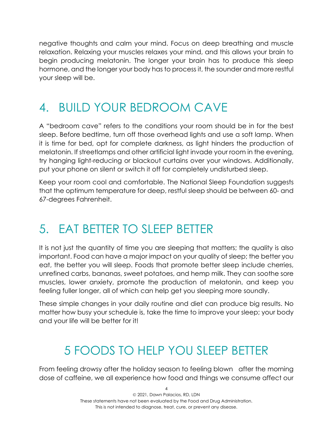negative thoughts and calm your mind. Focus on deep breathing and muscle relaxation. Relaxing your muscles relaxes your mind, and this allows your brain to begin producing melatonin. The longer your brain has to produce this sleep hormone, and the longer your body has to process it, the sounder and more restful your sleep will be.

#### 4. BUILD YOUR BEDROOM CAVE

A "bedroom cave" refers to the conditions your room should be in for the best sleep. Before bedtime, turn off those overhead lights and use a soft lamp. When it is time for bed, opt for complete darkness, as light hinders the production of melatonin. If streetlamps and other artificial light invade your room in the evening, try hanging light-reducing or blackout curtains over your windows. Additionally, put your phone on silent or switch it off for completely undisturbed sleep.

Keep your room cool and comfortable. The National Sleep Foundation suggests that the optimum temperature for deep, restful sleep should be between 60- and 67-degrees Fahrenheit.

#### 5. EAT BETTER TO SLEEP BETTER

It is not just the quantity of time you are sleeping that matters; the quality is also important. Food can have a major impact on your quality of sleep; the better you eat, the better you will sleep. Foods that promote better sleep include cherries, unrefined carbs, bananas, sweet potatoes, and hemp milk. They can soothe sore muscles, lower anxiety, promote the production of melatonin, and keep you feeling fuller longer, all of which can help get you sleeping more soundly.

These simple changes in your daily routine and diet can produce big results. No matter how busy your schedule is, take the time to improve your sleep; your body and your life will be better for it!

### 5 FOODS TO HELP YOU SLEEP BETTER

From feeling drowsy after the holiday season to feeling blown after the morning dose of caffeine, we all experience how food and things we consume affect our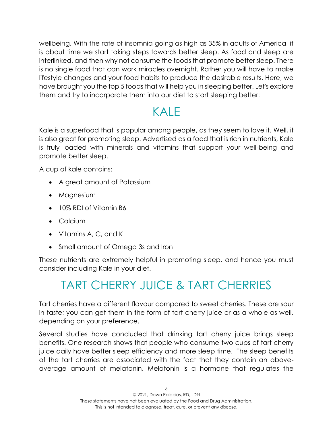wellbeing. With the rate of insomnia going as high as 35% in adults of America, it is about time we start taking steps towards better sleep. As food and sleep are interlinked, and then why not consume the foods that promote better sleep. There is no single food that can work miracles overnight. Rather you will have to make lifestyle changes and your food habits to produce the desirable results. Here, we have brought you the top 5 foods that will help you in sleeping better. Let's explore them and try to incorporate them into our diet to start sleeping better:

#### KALE

Kale is a superfood that is popular among people, as they seem to love it. Well, it is also great for promoting sleep. Advertised as a food that is rich in nutrients, Kale is truly loaded with minerals and vitamins that support your well-being and promote better sleep.

A cup of kale contains:

- A great amount of Potassium
- Magnesium
- 10% RDI of Vitamin B6
- Calcium
- Vitamins A, C, and K
- Small amount of Omega 3s and Iron

These nutrients are extremely helpful in promoting sleep, and hence you must consider including Kale in your diet.

# TART CHERRY JUICE & TART CHERRIES

Tart cherries have a different flavour compared to sweet cherries. These are sour in taste; you can get them in the form of tart cherry juice or as a whole as well, depending on your preference.

Several studies have concluded that drinking tart cherry juice brings sleep benefits. One research shows that people who consume two cups of tart cherry juice daily have better sleep efficiency and more sleep time. The sleep benefits of the tart cherries are associated with the fact that they contain an aboveaverage amount of melatonin. Melatonin is a hormone that regulates the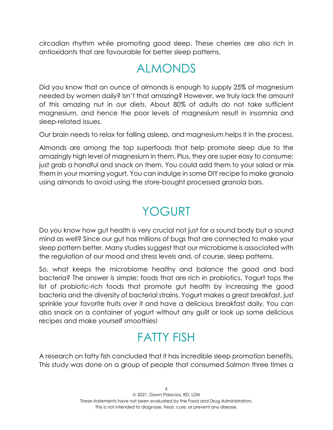circadian rhythm while promoting good sleep. These cherries are also rich in antioxidants that are favourable for better sleep patterns.

#### ALMONDS

Did you know that an ounce of almonds is enough to supply 25% of magnesium needed by women daily? Isn't that amazing? However, we truly lack the amount of this amazing nut in our diets. About 80% of adults do not take sufficient magnesium, and hence the poor levels of magnesium result in insomnia and sleep-related issues.

Our brain needs to relax for falling asleep, and magnesium helps it in the process.

Almonds are among the top superfoods that help promote sleep due to the amazingly high level of magnesium in them. Plus, they are super easy to consume; just grab a handful and snack on them. You could add them to your salad or mix them in your morning yogurt. You can indulge in some DIY recipe to make granola using almonds to avoid using the store-bought processed granola bars.

#### YOGURT

Do you know how gut health is very crucial not just for a sound body but a sound mind as well? Since our gut has millions of bugs that are connected to make your sleep pattern better. Many studies suggest that our microbiome is associated with the regulation of our mood and stress levels and, of course, sleep patterns.

So, what keeps the microbiome healthy and balance the good and bad bacteria? The answer is simple; foods that are rich in probiotics. Yogurt tops the list of probiotic-rich foods that promote gut health by increasing the good bacteria and the diversity of bacterial strains. Yogurt makes a great breakfast, just sprinkle your favorite fruits over it and have a delicious breakfast daily. You can also snack on a container of yogurt without any guilt or look up some delicious recipes and make yourself smoothies!

#### FATTY FISH

A research on fatty fish concluded that it has incredible sleep promotion benefits. This study was done on a group of people that consumed Salmon three times a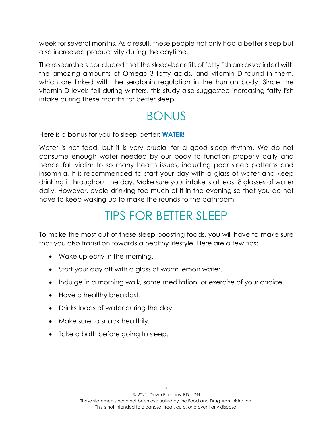week for several months. As a result, these people not only had a better sleep but also increased productivity during the daytime.

The researchers concluded that the sleep-benefits of fatty fish are associated with the amazing amounts of Omega-3 fatty acids, and vitamin D found in them, which are linked with the serotonin regulation in the human body. Since the vitamin D levels fall during winters, this study also suggested increasing fatty fish intake during these months for better sleep.

#### BONUS

Here is a bonus for you to sleep better: **WATER!**

Water is not food, but it is very crucial for a good sleep rhythm. We do not consume enough water needed by our body to function properly daily and hence fall victim to so many health issues, including poor sleep patterns and insomnia. It is recommended to start your day with a glass of water and keep drinking it throughout the day. Make sure your intake is at least 8 glasses of water daily. However, avoid drinking too much of it in the evening so that you do not have to keep waking up to make the rounds to the bathroom.

# TIPS FOR BETTER SLEEP

To make the most out of these sleep-boosting foods, you will have to make sure that you also transition towards a healthy lifestyle. Here are a few tips:

- Wake up early in the morning.
- Start your day off with a glass of warm lemon water.
- Indulge in a morning walk, some meditation, or exercise of your choice.
- Have a healthy breakfast.
- Drinks loads of water during the day.
- Make sure to snack healthily.
- Take a bath before going to sleep.